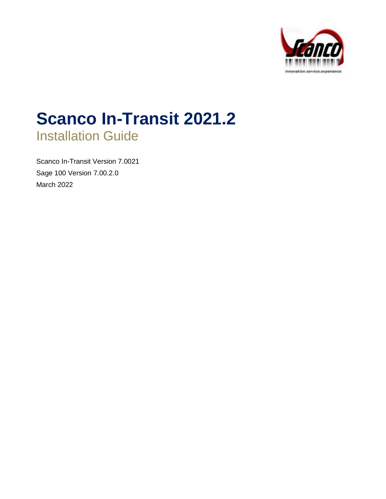

# **Scanco In-Transit 2021.2** Installation Guide

Scanco In-Transit Version 7.0021 Sage 100 Version 7.00.2.0 March 2022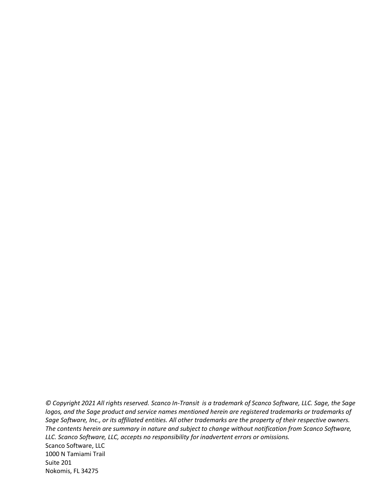*© Copyright 2021 All rights reserved. Scanco In-Transit is a trademark of Scanco Software, LLC. Sage, the Sage logos, and the Sage product and service names mentioned herein are registered trademarks or trademarks of Sage Software, Inc., or its affiliated entities. All other trademarks are the property of their respective owners. The contents herein are summary in nature and subject to change without notification from Scanco Software, LLC. Scanco Software, LLC, accepts no responsibility for inadvertent errors or omissions.* Scanco Software, LLC

1000 N Tamiami Trail Suite 201 Nokomis, FL 34275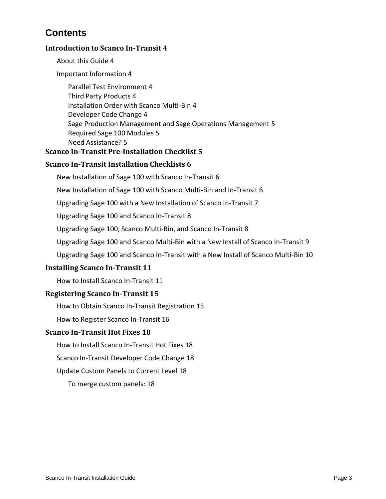# **Contents**

### **[Introduction to Scanco In-Transit](#page-3-0) 4**

[About this Guide](#page-3-1) 4

[Important Information](#page-3-2) 4

[Parallel Test Environment](#page-3-3) 4 [Third Party Products](#page-3-4) 4 [Installation Order with Scanco Multi-Bin](#page-3-5) 4 [Developer Code Change](#page-3-6) 4 [Sage Production Management and Sage Operations Management](#page-4-0) 5 [Required Sage 100 Modules](#page-4-1) 5 [Need Assistance?](#page-4-2) 5

#### **[Scanco In-Transit Pre-Installation Checklist](#page-4-3) 5**

### **[Scanco In-Transit Installation Checklists](#page-5-0) 6**

New Installation [of Sage 100 with Scanco In-Transit](#page-5-1) 6

[New Installation of Sage 100 with Scanco Multi-Bin and In-Transit](#page-5-2) 6

[Upgrading Sage 100 with a New Installation of Scanco In-Transit](#page-6-0) 7

[Upgrading Sage 100 and Scanco In-Transit](#page-7-0) 8

[Upgrading Sage 100, Scanco Multi-Bin, and Scanco In-Transit](#page-7-1) 8

[Upgrading Sage 100 and Scanco Multi-Bin with a New Install of Scanco In-Transit](#page-8-0) 9

[Upgrading Sage 100 and Scanco In-Transit with a New Install of Scanco Multi-Bin](#page-9-0) 10

#### **[Installing Scanco In-Transit](#page-10-0) 11**

[How to Install Scanco In-Transit](#page-10-1) 11

#### **[Registering Scanco In-Transit](#page-14-0) 15**

[How to Obtain Scanco In-Transit Registration](#page-14-1) 15

[How to Register Scanco In-Transit](#page-15-0) 16

#### **[Scanco In-Transit Hot Fixes](#page-17-0) 18**

[How to Install Scanco In-Transit Hot Fixes](#page-17-1) 18

[Scanco In-Transit Developer Code Change](#page-17-2) 18

[Update Custom Panels to Current Level](#page-17-3) 18

[To merge custom panels:](#page-17-4) 18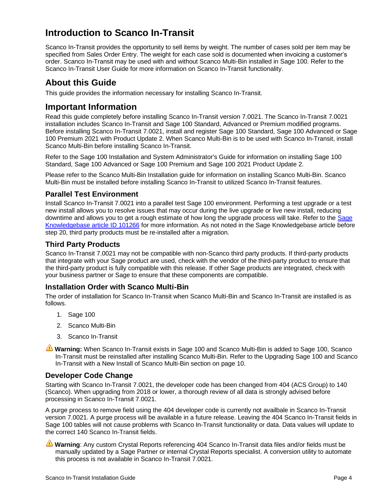# <span id="page-3-0"></span>**Introduction to Scanco In-Transit**

Scanco In-Transit provides the opportunity to sell items by weight. The number of cases sold per item may be specified from Sales Order Entry. The weight for each case sold is documented when invoicing a customer's order. Scanco In-Transit may be used with and without Scanco Multi-Bin installed in Sage 100. Refer to the Scanco In-Transit User Guide for more information on Scanco In-Transit functionality.

# <span id="page-3-1"></span>**About this Guide**

This guide provides the information necessary for installing Scanco In-Transit.

# <span id="page-3-2"></span>**Important Information**

Read this guide completely before installing Scanco In-Transit version 7.0021. The Scanco In-Transit 7.0021 installation includes Scanco In-Transit and Sage 100 Standard, Advanced or Premium modified programs. Before installing Scanco In-Transit 7.0021, install and register Sage 100 Standard, Sage 100 Advanced or Sage 100 Premium 2021 with Product Update 2. When Scanco Multi-Bin is to be used with Scanco In-Transit, install Scanco Multi-Bin before installing Scanco In-Transit.

Refer to the Sage 100 Installation and System Administrator's Guide for information on installing Sage 100 Standard, Sage 100 Advanced or Sage 100 Premium and Sage 100 2021 Product Update 2.

Please refer to the Scanco Multi-Bin Installation guide for information on installing Scanco Multi-Bin. Scanco Multi-Bin must be installed before installing Scanco In-Transit to utilized Scanco In-Transit features.

### <span id="page-3-3"></span>**Parallel Test Environment**

Install Scanco In-Transit 7.0021 into a parallel test Sage 100 environment. Performing a test upgrade or a test new install allows you to resolve issues that may occur during the live upgrade or live new install, reducing downtime and allows you to get a rough estimate of how long the upgrade process will take. Refer to the [Sage](https://support.na.sage.com/selfservice/viewdocument.do?noCount=true&externalId=101266&sliceId=1&noCount=true&isLoadPublishedVer=&docType=kc&docTypeID=DT_Article&stateId=4535&cmd=displayKC&dialogID=184412&ViewedDocsListHelper=com.kanisa.apps.common.BaseViewedDocsListHelperImpl&openedFromSearchResults=true)  [Knowledgebase article ID 101266](https://support.na.sage.com/selfservice/viewdocument.do?noCount=true&externalId=101266&sliceId=1&noCount=true&isLoadPublishedVer=&docType=kc&docTypeID=DT_Article&stateId=4535&cmd=displayKC&dialogID=184412&ViewedDocsListHelper=com.kanisa.apps.common.BaseViewedDocsListHelperImpl&openedFromSearchResults=true) for more information. As not noted in the Sage Knowledgebase article before step 20, third party products must be re-installed after a migration.

#### <span id="page-3-4"></span>**Third Party Products**

Scanco In-Transit 7.0021 may not be compatible with non-Scanco third party products. If third-party products that integrate with your Sage product are used, check with the vendor of the third-party product to ensure that the third-party product is fully compatible with this release. If other Sage products are integrated, check with your business partner or Sage to ensure that these components are compatible.

#### <span id="page-3-5"></span>**Installation Order with Scanco Multi-Bin**

The order of installation for Scanco In-Transit when Scanco Multi-Bin and Scanco In-Transit are installed is as follows.

- 1. Sage 100
- 2. Scanco Multi-Bin
- 3. Scanco In-Transit
- **Warning:** When Scanco In-Transit exists in Sage 100 and Scanco Multi-Bin is added to Sage 100, Scanco In-Transit must be reinstalled after installing Scanco Multi-Bin. Refer to th[e Upgrading Sage 100](#page-9-0) and Scanco In-Transit [with a New Install of Scanco Multi-Bin](#page-9-0) section on page [10.](#page-9-0)

#### <span id="page-3-6"></span>**Developer Code Change**

Starting with Scanco In-Transit 7.0021, the developer code has been changed from 404 (ACS Group) to 140 (Scanco). When upgrading from 2018 or lower, a thorough review of all data is strongly advised before processing in Scanco In-Transit 7.0021.

A purge process to remove field using the 404 developer code is currently not availbale in Scanco In-Transit version 7.0021. A purge process will be available in a future release. Leaving the 404 Scanco In-Transit fields in Sage 100 tables will not cause problems with Scanco In-Transit functionality or data. Data values will update to the correct 140 Scanco In-Transit fields.

**Warning**: Any custom Crystal Reports referencing 404 Scanco In-Transit data files and/or fields must be manually updated by a Sage Partner or internal Crystal Reports specialist. A conversion utility to automate this process is not available in Scanco In-Transit 7.0021.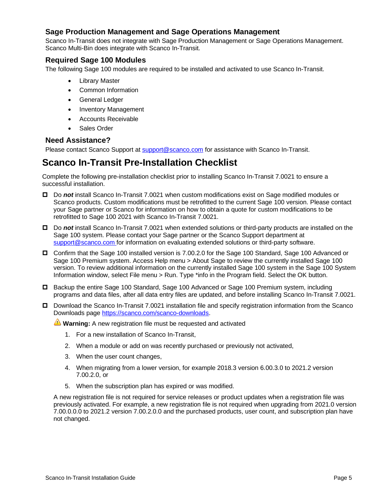#### <span id="page-4-0"></span>**Sage Production Management and Sage Operations Management**

Scanco In-Transit does not integrate with Sage Production Management or Sage Operations Management. Scanco Multi-Bin does integrate with Scanco In-Transit.

#### <span id="page-4-1"></span>**Required Sage 100 Modules**

The following Sage 100 modules are required to be installed and activated to use Scanco In-Transit.

- Library Master
- Common Information
- General Ledger
- Inventory Management
- Accounts Receivable
- Sales Order

#### <span id="page-4-2"></span>**Need Assistance?**

Please contact Scanco Support at [support@scanco.com](mailto:support@scanco.com) for assistance with Scanco In-Transit.

# <span id="page-4-3"></span>**Scanco In-Transit Pre-Installation Checklist**

Complete the following pre-installation checklist prior to installing Scanco In-Transit 7.0021 to ensure a successful installation.

- Do *not* install Scanco In-Transit 7.0021 when custom modifications exist on Sage modified modules or Scanco products. Custom modifications must be retrofitted to the current Sage 100 version. Please contact your Sage partner or Scanco for information on how to obtain a quote for custom modifications to be retrofitted to Sage 100 2021 with Scanco In-Transit 7.0021.
- Do *not* install Scanco In-Transit 7.0021 when extended solutions or third-party products are installed on the Sage 100 system. Please contact your Sage partner or the Scanco Support department at [support@scanco.com](mailto:support@scanco.com) for information on evaluating extended solutions or third-party software.
- Confirm that the Sage 100 installed version is 7.00.2.0 for the Sage 100 Standard, Sage 100 Advanced or Sage 100 Premium system. Access Help menu > About Sage to review the currently installed Sage 100 version. To review additional information on the currently installed Sage 100 system in the Sage 100 System Information window, select File menu > Run. Type \*info in the Program field. Select the OK button.
- □ Backup the entire Sage 100 Standard, Sage 100 Advanced or Sage 100 Premium system, including programs and data files, after all data entry files are updated, and before installing Scanco In-Transit 7.0021.
- Download the Scanco In-Transit 7.0021 installation file and specify registration information from the Scanco Downloads page [https://scanco.com/scanco-downloads.](https://scanco.com/scanco-downloads/)

**Warning:** A new registration file must be requested and activated

- 1. For a new installation of Scanco In-Transit,
- 2. When a module or add on was recently purchased or previously not activated,
- 3. When the user count changes,
- 4. When migrating from a lower version, for example 2018.3 version 6.00.3.0 to 2021.2 version 7.00.2.0, or
- 5. When the subscription plan has expired or was modified.

A new registration file is not required for service releases or product updates when a registration file was previously activated. For example, a new registration file is not required when upgrading from 2021.0 version 7.00.0.0.0 to 2021.2 version 7.00.2.0.0 and the purchased products, user count, and subscription plan have not changed.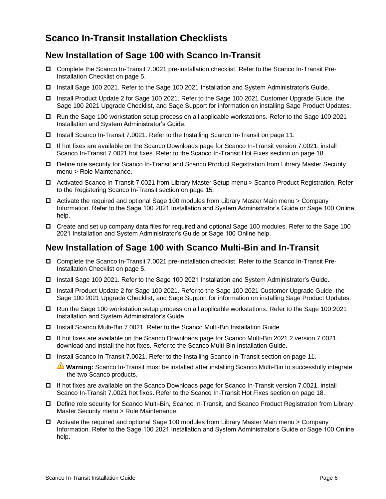# <span id="page-5-0"></span>**Scanco In-Transit Installation Checklists**

## <span id="page-5-1"></span>**New Installation of Sage 100 with Scanco In-Transit**

- Complete the Scanco In-Transit 7.0021 pre-installation checklist. Refer to th[e Scanco In-Transit](#page-4-3) Pre-[Installation Checklist](#page-4-3) on page [5.](#page-4-3)
- Install Sage 100 2021. Refer to the Sage 100 2021 Installation and System Administrator's Guide.
- □ Install Product Update 2 for Sage 100 2021. Refer to the Sage 100 2021 Customer Upgrade Guide, the Sage 100 2021 Upgrade Checklist, and Sage Support for information on installing Sage Product Updates.
- Run the Sage 100 workstation setup process on all applicable workstations. Refer to the Sage 100 2021 Installation and System Administrator's Guide.
- Install Scanco In-Transit 7.0021. Refer to the Installing [Scanco In-Transit](#page-10-0) on page [11.](#page-10-0)
- If hot fixes are available on the Scanco Downloads page for Scanco In-Transit version 7.0021, install Scanco In-Transit 7.0021 hot fixes. Refer to the [Scanco In-Transit](#page-17-0) Hot Fixes section on page [18.](#page-17-0)
- Define role security for Scanco In-Transit and Scanco Product Registration from Library Master Security menu > Role Maintenance.
- Activated Scanco In-Transit 7.0021 from Library Master Setup menu > Scanco Product Registration. Refer to the [Registering Scanco In-Transit](#page-14-0) section on page [15.](#page-14-0)
- $\Box$  Activate the required and optional Sage 100 modules from Library Master Main menu > Company Information. Refer to the Sage 100 2021 Installation and System Administrator's Guide or Sage 100 Online help.
- Create and set up company data files for required and optional Sage 100 modules. Refer to the Sage 100 2021 Installation and System Administrator's Guide or Sage 100 Online help.

## <span id="page-5-2"></span>**New Installation of Sage 100 with Scanco Multi-Bin and In-Transit**

- Complete the Scanco In-Transit 7.0021 pre-installation checklist. Refer to th[e Scanco In-Transit](#page-4-3) Pre-[Installation Checklist](#page-4-3) on page [5.](#page-4-3)
- Install Sage 100 2021. Refer to the Sage 100 2021 Installation and System Administrator's Guide.
- □ Install Product Update 2 for Sage 100 2021. Refer to the Sage 100 2021 Customer Upgrade Guide, the Sage 100 2021 Upgrade Checklist, and Sage Support for information on installing Sage Product Updates.
- Run the Sage 100 workstation setup process on all applicable workstations. Refer to the Sage 100 2021 Installation and System Administrator's Guide.
- Install Scanco Multi-Bin 7.0021. Refer to the Scanco Multi-Bin Installation Guide.
- If hot fixes are available on the Scanco Downloads page for Scanco Multi-Bin 2021.2 version 7.0021, download and install the hot fixes. Refer to the Scanco Multi-Bin Installation Guide.
- □ Install [Scanco In-Transit](#page-10-0) 7.0021. Refer to the Installing Scanco In-Transit section on page [11.](#page-10-0)

**Warning:** Scanco In-Transit must be installed after installing Scanco Multi-Bin to successfully integrate the two Scanco products.

- If hot fixes are available on the Scanco Downloads page for Scanco In-Transit version 7.0021, install Scanco In-Transit 7.0021 hot fixes. Refer to the [Scanco In-Transit](#page-17-0) Hot Fixes section on page [18.](#page-17-0)
- Define role security for Scanco Multi-Bin, Scanco In-Transit, and Scanco Product Registration from Library Master Security menu > Role Maintenance.
- $\Box$  Activate the required and optional Sage 100 modules from Library Master Main menu > Company Information. Refer to the Sage 100 2021 Installation and System Administrator's Guide or Sage 100 Online help.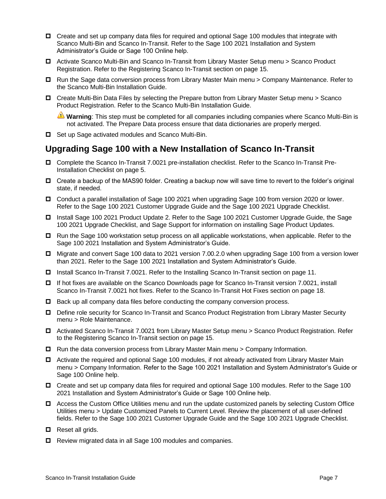- □ Create and set up company data files for required and optional Sage 100 modules that integrate with Scanco Multi-Bin and Scanco In-Transit. Refer to the Sage 100 2021 Installation and System Administrator's Guide or Sage 100 Online help.
- Activate Scanco Multi-Bin and Scanco In-Transit from Library Master Setup menu > Scanco Product Registration. Refer to the [Registering Scanco In-Transit](#page-14-0) section on page [15.](#page-14-0)
- □ Run the Sage data conversion process from Library Master Main menu > Company Maintenance. Refer to the Scanco Multi-Bin Installation Guide.
- Create Multi-Bin Data Files by selecting the Prepare button from Library Master Setup menu > Scanco Product Registration. Refer to the Scanco Multi-Bin Installation Guide.

**Warning**: This step must be completed for all companies including companies where Scanco Multi-Bin is not activated. The Prepare Data process ensure that data dictionaries are properly merged.

□ Set up Sage activated modules and Scanco Multi-Bin.

## <span id="page-6-0"></span>**Upgrading Sage 100 with a New Installation of Scanco In-Transit**

- Complete the Scanco In-Transit 7.0021 pre-installation checklist. Refer to th[e Scanco In-Transit](#page-4-3) Pre-[Installation Checklist](#page-4-3) on page [5.](#page-4-3)
- Create a backup of the MAS90 folder. Creating a backup now will save time to revert to the folder's original state, if needed.
- Conduct a parallel installation of Sage 100 2021 when upgrading Sage 100 from version 2020 or lower. Refer to the Sage 100 2021 Customer Upgrade Guide and the Sage 100 2021 Upgrade Checklist.
- □ Install Sage 100 2021 Product Update 2. Refer to the Sage 100 2021 Customer Upgrade Guide, the Sage 100 2021 Upgrade Checklist, and Sage Support for information on installing Sage Product Updates.
- $\Box$  Run the Sage 100 workstation setup process on all applicable workstations, when applicable. Refer to the Sage 100 2021 Installation and System Administrator's Guide.
- Migrate and convert Sage 100 data to 2021 version 7.00.2.0 when upgrading Sage 100 from a version lower than 2021. Refer to the Sage 100 2021 Installation and System Administrator's Guide.
- □ Install [Scanco In-Transit](#page-10-0) 7.0021. Refer to the Installing Scanco In-Transit section on page [11.](#page-10-0)
- If hot fixes are available on the Scanco Downloads page for Scanco In-Transit version 7.0021, install Scanco In-Transit 7.0021 hot fixes. Refer to the [Scanco In-Transit](#page-17-0) Hot Fixes section on page [18.](#page-17-0)
- $\Box$  Back up all company data files before conducting the company conversion process.
- □ Define role security for Scanco In-Transit and Scanco Product Registration from Library Master Security menu > Role Maintenance.
- Activated Scanco In-Transit 7.0021 from Library Master Setup menu > Scanco Product Registration. Refer to the [Registering Scanco In-Transit](#page-14-0) section on pag[e 15.](#page-14-0)
- $\Box$  Run the data conversion process from Library Master Main menu > Company Information.
- □ Activate the required and optional Sage 100 modules, if not already activated from Library Master Main menu > Company Information. Refer to the Sage 100 2021 Installation and System Administrator's Guide or Sage 100 Online help.
- Create and set up company data files for required and optional Sage 100 modules. Refer to the Sage 100 2021 Installation and System Administrator's Guide or Sage 100 Online help.
- Access the Custom Office Utilities menu and run the update customized panels by selecting Custom Office Utilities menu > Update Customized Panels to Current Level. Review the placement of all user-defined fields. Refer to the Sage 100 2021 Customer Upgrade Guide and the Sage 100 2021 Upgrade Checklist.
- $\Box$  Reset all grids.
- □ Review migrated data in all Sage 100 modules and companies.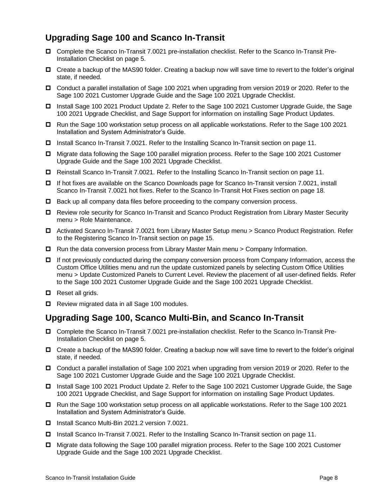# <span id="page-7-0"></span>**Upgrading Sage 100 and Scanco In-Transit**

- Complete the Scanco In-Transit 7.0021 pre-installation checklist. Refer to th[e Scanco In-Transit](#page-4-3) Pre-[Installation Checklist](#page-4-3) on page [5.](#page-4-3)
- □ Create a backup of the MAS90 folder. Creating a backup now will save time to revert to the folder's original state, if needed.
- Conduct a parallel installation of Sage 100 2021 when upgrading from version 2019 or 2020. Refer to the Sage 100 2021 Customer Upgrade Guide and the Sage 100 2021 Upgrade Checklist.
- Install Sage 100 2021 Product Update 2. Refer to the Sage 100 2021 Customer Upgrade Guide, the Sage 100 2021 Upgrade Checklist, and Sage Support for information on installing Sage Product Updates.
- □ Run the Sage 100 workstation setup process on all applicable workstations. Refer to the Sage 100 2021 Installation and System Administrator's Guide.
- □ Install [Scanco In-Transit](#page-10-0) 7.0021. Refer to the Installing Scanco In-Transit section on page [11.](#page-10-0)
- Migrate data following the Sage 100 parallel migration process. Refer to the Sage 100 2021 Customer Upgrade Guide and the Sage 100 2021 Upgrade Checklist.
- Reinstall Scanco In-Transit 7.0021. Refer to the Installing [Scanco In-Transit](#page-10-0) section on page [11.](#page-10-0)
- If hot fixes are available on the Scanco Downloads page for Scanco In-Transit version 7.0021, install Scanco In-Transit 7.0021 hot fixes. Refer to the [Scanco In-Transit](#page-17-0) Hot Fixes section on page [18.](#page-17-0)
- $\Box$  Back up all company data files before proceeding to the company conversion process.
- Review role security for Scanco In-Transit and Scanco Product Registration from Library Master Security menu > Role Maintenance.
- Activated Scanco In-Transit 7.0021 from Library Master Setup menu > Scanco Product Registration. Refer to the [Registering Scanco In-Transit](#page-14-0) section on pag[e 15.](#page-14-0)
- $\Box$  Run the data conversion process from Library Master Main menu > Company Information.
- □ If not previously conducted during the company conversion process from Company Information, access the Custom Office Utilities menu and run the update customized panels by selecting Custom Office Utilities menu > Update Customized Panels to Current Level. Review the placement of all user-defined fields. Refer to the Sage 100 2021 Customer Upgrade Guide and the Sage 100 2021 Upgrade Checklist.
- $\Box$  Reset all grids.
- Review migrated data in all Sage 100 modules.

## <span id="page-7-1"></span>**Upgrading Sage 100, Scanco Multi-Bin, and Scanco In-Transit**

- Complete the Scanco In-Transit 7.0021 pre-installation checklist. Refer to th[e Scanco In-Transit](#page-4-3) Pre-[Installation Checklist](#page-4-3) on page [5.](#page-4-3)
- □ Create a backup of the MAS90 folder. Creating a backup now will save time to revert to the folder's original state, if needed.
- Conduct a parallel installation of Sage 100 2021 when upgrading from version 2019 or 2020. Refer to the Sage 100 2021 Customer Upgrade Guide and the Sage 100 2021 Upgrade Checklist.
- □ Install Sage 100 2021 Product Update 2. Refer to the Sage 100 2021 Customer Upgrade Guide, the Sage 100 2021 Upgrade Checklist, and Sage Support for information on installing Sage Product Updates.
- Run the Sage 100 workstation setup process on all applicable workstations. Refer to the Sage 100 2021 Installation and System Administrator's Guide.
- Install Scanco Multi-Bin 2021.2 version 7.0021.
- □ Install [Scanco In-Transit](#page-10-0) 7.0021. Refer to the Installing Scanco In-Transit section on page [11.](#page-10-0)
- Migrate data following the Sage 100 parallel migration process. Refer to the Sage 100 2021 Customer Upgrade Guide and the Sage 100 2021 Upgrade Checklist.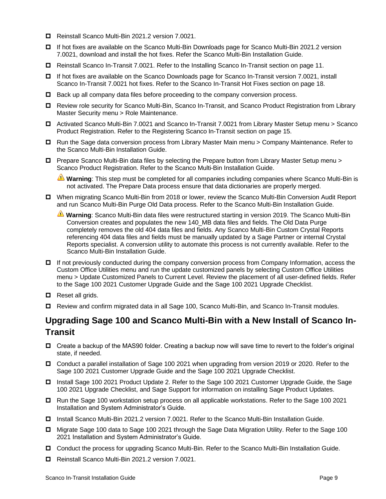- Reinstall Scanco Multi-Bin 2021.2 version 7.0021.
- If hot fixes are available on the Scanco Multi-Bin Downloads page for Scanco Multi-Bin 2021.2 version 7.0021, download and install the hot fixes. Refer the Scanco Multi-Bin Installation Guide.
- Reinstall Scanco In-Transit 7.0021. Refer to the Installing [Scanco In-Transit](#page-10-0) section on page [11.](#page-10-0)
- If hot fixes are available on the Scanco Downloads page for Scanco In-Transit version 7.0021, install Scanco In-Transit 7.0021 hot fixes. Refer to the [Scanco In-Transit](#page-17-0) Hot Fixes section on page [18.](#page-17-0)
- $\Box$  Back up all company data files before proceeding to the company conversion process.
- Review role security for Scanco Multi-Bin, Scanco In-Transit, and Scanco Product Registration from Library Master Security menu > Role Maintenance.
- Activated Scanco Multi-Bin 7.0021 and Scanco In-Transit 7.0021 from Library Master Setup menu > Scanco Product Registration. Refer to the [Registering Scanco In-Transit](#page-14-0) section on page [15.](#page-14-0)
- □ Run the Sage data conversion process from Library Master Main menu > Company Maintenance. Refer to the Scanco Multi-Bin Installation Guide.
- Prepare Scanco Multi-Bin data files by selecting the Prepare button from Library Master Setup menu > Scanco Product Registration. Refer to the Scanco Multi-Bin Installation Guide.

**Warning**: This step must be completed for all companies including companies where Scanco Multi-Bin is not activated. The Prepare Data process ensure that data dictionaries are properly merged.

- When migrating Scanco Multi-Bin from 2018 or lower, review the Scanco Multi-Bin Conversion Audit Report and run Scanco Multi-Bin Purge Old Data process. Refer to the Scanco Multi-Bin Installation Guide.
	- **Warning**: Scanco Multi-Bin data files were restructured starting in version 2019. The Scanco Multi-Bin Conversion creates and populates the new 140\_MB data files and fields. The Old Data Purge completely removes the old 404 data files and fields. Any Scanco Multi-Bin Custom Crystal Reports referencing 404 data files and fields must be manually updated by a Sage Partner or internal Crystal Reports specialist. A conversion utility to automate this process is not currently available. Refer to the Scanco Multi-Bin Installation Guide.
- $\Box$  If not previously conducted during the company conversion process from Company Information, access the Custom Office Utilities menu and run the update customized panels by selecting Custom Office Utilities menu > Update Customized Panels to Current Level. Review the placement of all user-defined fields. Refer to the Sage 100 2021 Customer Upgrade Guide and the Sage 100 2021 Upgrade Checklist.
- $\Box$  Reset all grids.
- Review and confirm migrated data in all Sage 100, Scanco Multi-Bin, and Scanco In-Transit modules.

# <span id="page-8-0"></span>**Upgrading Sage 100 and Scanco Multi-Bin with a New Install of Scanco In-Transit**

- Create a backup of the MAS90 folder. Creating a backup now will save time to revert to the folder's original state, if needed.
- Conduct a parallel installation of Sage 100 2021 when upgrading from version 2019 or 2020. Refer to the Sage 100 2021 Customer Upgrade Guide and the Sage 100 2021 Upgrade Checklist.
- □ Install Sage 100 2021 Product Update 2. Refer to the Sage 100 2021 Customer Upgrade Guide, the Sage 100 2021 Upgrade Checklist, and Sage Support for information on installing Sage Product Updates.
- Run the Sage 100 workstation setup process on all applicable workstations. Refer to the Sage 100 2021 Installation and System Administrator's Guide.
- Install Scanco Multi-Bin 2021.2 version 7.0021. Refer to the Scanco Multi-Bin Installation Guide.
- Migrate Sage 100 data to Sage 100 2021 through the Sage Data Migration Utility. Refer to the Sage 100 2021 Installation and System Administrator's Guide.
- Conduct the process for upgrading Scanco Multi-Bin. Refer to the Scanco Multi-Bin Installation Guide.
- Reinstall Scanco Multi-Bin 2021.2 version 7.0021.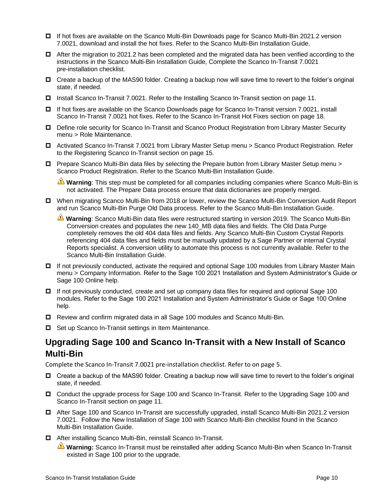- If hot fixes are available on the Scanco Multi-Bin Downloads page for Scanco Multi-Bin 2021.2 version 7.0021, download and install the hot fixes. Refer to the Scanco Multi-Bin Installation Guide.
- $\Box$  After the migration to 2021.2 has been completed and the migrated data has been verified according to the instructions in the Scanco Multi-Bin Installation Guide, Complete the Scanco In-Transit 7.0021 pre-installation checklist.
- □ Create a backup of the MAS90 folder. Creating a backup now will save time to revert to the folder's original state, if needed.
- □ Install [Scanco In-Transit](#page-10-0) 7.0021. Refer to the Installing Scanco In-Transit section on page [11.](#page-10-0)
- If hot fixes are available on the Scanco Downloads page for Scanco In-Transit version 7.0021, install Scanco In-Transit 7.0021 hot fixes. Refer to the [Scanco In-Transit](#page-17-0) Hot Fixes section on page [18.](#page-17-0)
- □ Define role security for Scanco In-Transit and Scanco Product Registration from Library Master Security menu > Role Maintenance.
- Activated Scanco In-Transit 7.0021 from Library Master Setup menu > Scanco Product Registration. Refer to the [Registering Scanco In-Transit](#page-14-0) section on pag[e 15.](#page-14-0)
- Prepare Scanco Multi-Bin data files by selecting the Prepare button from Library Master Setup menu > Scanco Product Registration. Refer to the Scanco Multi-Bin Installation Guide.

**Warning**: This step must be completed for all companies including companies where Scanco Multi-Bin is not activated. The Prepare Data process ensure that data dictionaries are properly merged.

- When migrating Scanco Multi-Bin from 2018 or lower, review the Scanco Multi-Bin Conversion Audit Report and run Scanco Multi-Bin Purge Old Data process. Refer to the Scanco Multi-Bin Installation Guide.
	- **Warning**: Scanco Multi-Bin data files were restructured starting in version 2019. The Scanco Multi-Bin Conversion creates and populates the new 140\_MB data files and fields. The Old Data Purge completely removes the old 404 data files and fields. Any Scanco Multi-Bin Custom Crystal Reports referencing 404 data files and fields must be manually updated by a Sage Partner or internal Crystal Reports specialist. A conversion utility to automate this process is not currently available. Refer to the Scanco Multi-Bin Installation Guide.
- □ If not previously conducted, activate the required and optional Sage 100 modules from Library Master Main menu > Company Information. Refer to the Sage 100 2021 Installation and System Administrator's Guide or Sage 100 Online help.
- If not previously conducted, create and set up company data files for required and optional Sage 100 modules. Refer to the Sage 100 2021 Installation and System Administrator's Guide or Sage 100 Online help.
- Review and confirm migrated data in all Sage 100 modules and Scanco Multi-Bin.
- $\Box$  Set up Scanco In-Transit settings in Item Maintenance.

# <span id="page-9-0"></span>**Upgrading Sage 100 and Scanco In-Transit with a New Install of Scanco Multi-Bin**

Complete the Scanco In-Transit 7.0021 pre-installation checklist. Refer to on page [5.](#page-4-3)

- □ Create a backup of the MAS90 folder. Creating a backup now will save time to revert to the folder's original state, if needed.
- Conduct the upgrade process for Sage 100 and Scanco In-Transit. Refer to the [Upgrading Sage 100 and](#page-7-0) [Scanco In-Transit](#page-7-0) section on page [11.](#page-10-1)
- □ After Sage 100 and Scanco In-Transit are successfully upgraded, install Scanco Multi-Bin 2021.2 version 7.0021. Follow the New Installation of Sage 100 with Scanco Multi-Bin checklist found in the Scanco Multi-Bin Installation Guide.
- After installing Scanco Multi-Bin, reinstall Scanco In-Transit.
	- **Warning:** Scanco In-Transit must be reinstalled after adding Scanco Multi-Bin when Scanco In-Transit existed in Sage 100 prior to the upgrade.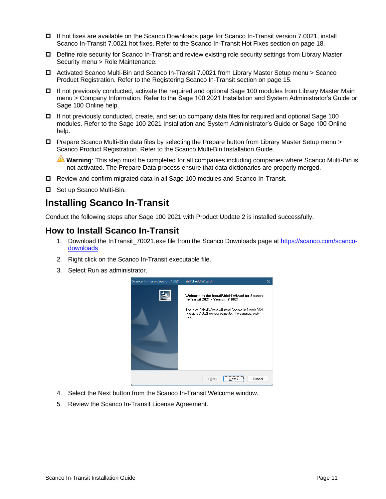- If hot fixes are available on the Scanco Downloads page for Scanco In-Transit version 7.0021, install Scanco In-Transit 7.0021 hot fixes. Refer to the [Scanco In-Transit](#page-17-0) Hot Fixes section on page [18.](#page-17-0)
- □ Define role security for Scanco In-Transit and review existing role security settings from Library Master Security menu > Role Maintenance.
- Activated Scanco Multi-Bin and Scanco In-Transit 7.0021 from Library Master Setup menu > Scanco Product Registration. Refer to the [Registering Scanco In-Transit](#page-14-0) section on page [15.](#page-14-0)
- □ If not previously conducted, activate the required and optional Sage 100 modules from Library Master Main menu > Company Information. Refer to the Sage 100 2021 Installation and System Administrator's Guide or Sage 100 Online help.
- $\Box$  If not previously conducted, create, and set up company data files for required and optional Sage 100 modules. Refer to the Sage 100 2021 Installation and System Administrator's Guide or Sage 100 Online help.
- Prepare Scanco Multi-Bin data files by selecting the Prepare button from Library Master Setup menu > Scanco Product Registration. Refer to the Scanco Multi-Bin Installation Guide.

**Warning**: This step must be completed for all companies including companies where Scanco Multi-Bin is not activated. The Prepare Data process ensure that data dictionaries are properly merged.

- Review and confirm migrated data in all Sage 100 modules and Scanco In-Transit.
- □ Set up Scanco Multi-Bin.

# <span id="page-10-0"></span>**Installing Scanco In-Transit**

Conduct the following steps after Sage 100 2021 with Product Update 2 is installed successfully.

## <span id="page-10-1"></span>**How to Install Scanco In-Transit**

- 1. Download the InTransit\_70021.exe file from the Scanco Downloads page at [https://scanco.com/scanco](https://scanco.com/scanco-downloads/)[downloads](https://scanco.com/scanco-downloads/)
- 2. Right click on the Scanco In-Transit executable file.
- 3. Select Run as administrator.



- 4. Select the Next button from the Scanco In-Transit Welcome window.
- 5. Review the Scanco In-Transit License Agreement.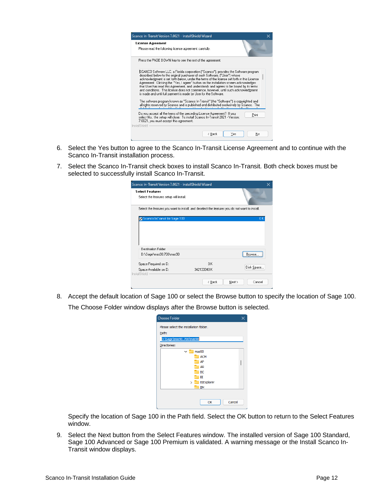

- 6. Select the Yes button to agree to the Scanco In-Transit License Agreement and to continue with the Scanco In-Transit installation process.
- 7. Select the Scanco In-Transit check boxes to install Scanco In-Transit. Both check boxes must be selected to successfully install Scanco In-Transit.

| Scanco In-Transit Version 7.0021 - InstallShield Wizard                                        |            |                  |
|------------------------------------------------------------------------------------------------|------------|------------------|
| <b>Select Features</b><br>Select the features setup will install.                              |            |                  |
| Select the features you want to install, and deselect the features you do not want to install. |            |                  |
| Scanco InTransit for Sage 100                                                                  |            | 0 K              |
| Destination Folder                                                                             |            |                  |
| D:\Sage\mas90.700\mas90                                                                        |            | Browse           |
| Space Required on D:                                                                           | 0K         |                  |
| Space Available on D:<br>InstallShield                                                         | 342133340K | Disk Space       |
|                                                                                                | < Back     | Cancel<br>Next > |

8. Accept the default location of Sage 100 or select the Browse button to specify the location of Sage 100. The Choose Folder window displays after the Browse button is selected.

| <b>Choose Folder</b>                   | ×      |
|----------------------------------------|--------|
| Please select the installation folder. |        |
| Path:                                  |        |
| D:\Sage\mas90.700\mas90                |        |
| Directories:                           |        |
| mas90<br>$\check{ }$                   |        |
| <b>ACM</b>                             |        |
| AP                                     |        |
| <b>AR</b>                              |        |
| ВC                                     |        |
| ΒI                                     |        |
| BIExplorer<br>$\mathcal{E}$            |        |
| <b>BM</b>                              |        |
|                                        |        |
| OK                                     | Cancel |

Specify the location of Sage 100 in the Path field. Select the OK button to return to the Select Features window.

9. Select the Next button from the Select Features window. The installed version of Sage 100 Standard, Sage 100 Advanced or Sage 100 Premium is validated. A warning message or the Install Scanco In-Transit window displays.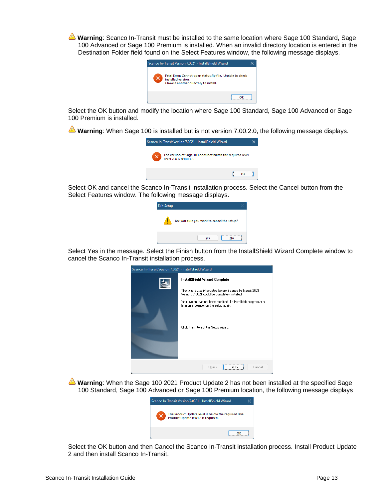**Warning**: Scanco In-Transit must be installed to the same location where Sage 100 Standard, Sage 100 Advanced or Sage 100 Premium is installed. When an invalid directory location is entered in the Destination Folder field found on the Select Features window, the following message displays.



Select the OK button and modify the location where Sage 100 Standard, Sage 100 Advanced or Sage 100 Premium is installed.

**Warning**: When Sage 100 is installed but is not version 7.00.2.0, the following message displays.



Select OK and cancel the Scanco In-Transit installation process. Select the Cancel button from the Select Features window. The following message displays.

| <b>Exit Setup</b> |                                            |  |
|-------------------|--------------------------------------------|--|
|                   | Are you sure you want to cancel the setup? |  |
|                   | <b>Yes</b>                                 |  |

Select Yes in the message. Select the Finish button from the InstallShield Wizard Complete window to cancel the Scanco In-Transit installation process.

| Scanco In-Transit Version 7.0021 - InstallShield Wizard |                                                                                                                                                                                                                                                                                                       |
|---------------------------------------------------------|-------------------------------------------------------------------------------------------------------------------------------------------------------------------------------------------------------------------------------------------------------------------------------------------------------|
|                                                         | InstallShield Wizard Complete<br>The wizard was interrupted before Scanco In-Transit 2021 -<br>Version: 7.0021 could be completely installed.<br>Your system has not been modified. To install this program at a<br>later time, please run the setup again.<br>Click Finish to exit the Setup wizard. |
|                                                         | ----------------------------<br>< Back<br>Cancel<br>Finish                                                                                                                                                                                                                                            |

**Warning**: When the Sage 100 2021 Product Update 2 has not been installed at the specified Sage 100 Standard, Sage 100 Advanced or Sage 100 Premium location, the following message displays

| Scanco In-Transit Version 7.0021 - InstallShield Wizard                                      |  |
|----------------------------------------------------------------------------------------------|--|
| The Product Update level is below the required level.<br>Product Update level 2 is required. |  |
|                                                                                              |  |

Select the OK button and then Cancel the Scanco In-Transit installation process. Install Product Update 2 and then install Scanco In-Transit.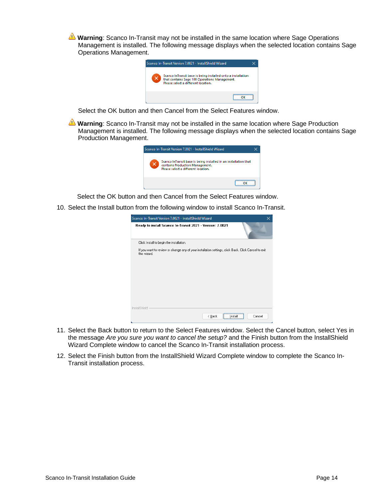**Warning**: Scanco In-Transit may not be installed in the same location where Sage Operations Management is installed. The following message displays when the selected location contains Sage Operations Management.



Select the OK button and then Cancel from the Select Features window.

**Warning**: Scanco In-Transit may not be installed in the same location where Sage Production Management is installed. The following message displays when the selected location contains Sage Production Management.

| Scanco In-Transit Version 7.0021 - InstallShield Wizard                                                                                    |  |
|--------------------------------------------------------------------------------------------------------------------------------------------|--|
| Scanco InTransit base is being installed in an installation that<br>contains Production Management.<br>Please select a different location. |  |
|                                                                                                                                            |  |

Select the OK button and then Cancel from the Select Features window.

10. Select the Install button from the following window to install Scanco In-Transit.

| Scanco In-Transit Version 7.0021 - InstallShield Wizard                                                            |        |
|--------------------------------------------------------------------------------------------------------------------|--------|
| Ready to install Scanco In-Transit 2021 - Version: 7.0021                                                          |        |
| Click Install to begin the installation.                                                                           |        |
| If you want to review or change any of your installation settings, click Back. Click Cancel to exit<br>the wizard. |        |
|                                                                                                                    |        |
|                                                                                                                    |        |
|                                                                                                                    |        |
|                                                                                                                    |        |
|                                                                                                                    |        |
|                                                                                                                    |        |
| InstallShield                                                                                                      |        |
| ----------------------------<br>< <u>B</u> ack<br>Instal                                                           | Cancel |

- 11. Select the Back button to return to the Select Features window. Select the Cancel button, select Yes in the message *Are you sure you want to cancel the setup?* and the Finish button from the InstallShield Wizard Complete window to cancel the Scanco In-Transit installation process.
- 12. Select the Finish button from the InstallShield Wizard Complete window to complete the Scanco In-Transit installation process.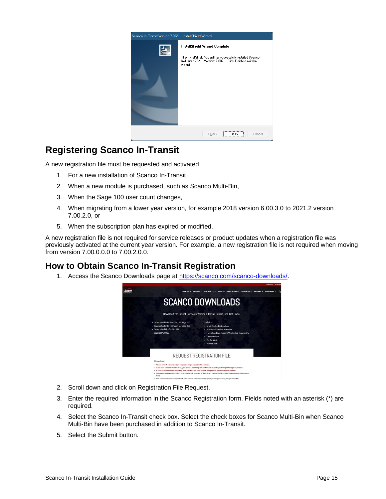

# <span id="page-14-0"></span>**Registering Scanco In-Transit**

A new registration file must be requested and activated

- 1. For a new installation of Scanco In-Transit,
- 2. When a new module is purchased, such as Scanco Multi-Bin,
- 3. When the Sage 100 user count changes,
- 4. When migrating from a lower year version, for example 2018 version 6.00.3.0 to 2021.2 version 7.00.2.0, or
- 5. When the subscription plan has expired or modified.

A new registration file is not required for service releases or product updates when a registration file was previously activated at the current year version. For example, a new registration file is not required when moving from version 7.00.0.0.0 to 7.00.2.0.0.

# <span id="page-14-1"></span>**How to Obtain Scanco In-Transit Registration**

1. Access the Scanco Downloads page at [https://scanco.com/scanco-downloads/.](https://scanco.com/scanco-downloads/)



- 2. Scroll down and click on Registration File Request.
- 3. Enter the required information in the Scanco Registration form. Fields noted with an asterisk (\*) are required.
- 4. Select the Scanco In-Transit check box. Select the check boxes for Scanco Multi-Bin when Scanco Multi-Bin have been purchased in addition to Scanco In-Transit.
- 5. Select the Submit button.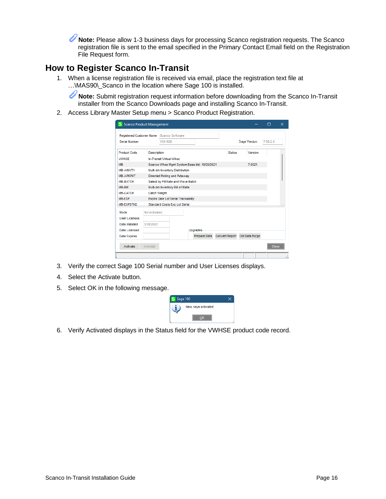**Note:** Please allow 1-3 business days for processing Scanco registration requests. The Scanco U registration file is sent to the email specified in the Primary Contact Email field on the Registration File Request form.

# <span id="page-15-0"></span>**How to Register Scanco In-Transit**

1. When a license registration file is received via email, place the registration text file at …\MAS90\\_Scanco in the location where Sage 100 is installed.

**Note:** Submit registration request information before downloading from the Scanco In-Transit installer from the Scanco Downloads page and installing Scanco In-Transit.

2. Access Library Master Setup menu > Scanco Product Registration.

| S Scanco Product Management     |                     |                                              |                 |                       |                | п        | $\times$ |
|---------------------------------|---------------------|----------------------------------------------|-----------------|-----------------------|----------------|----------|----------|
| <b>Registered Customer Name</b> |                     | Scanco Software                              |                 |                       |                |          |          |
| Serial Number                   |                     | 1501928                                      |                 |                       | Sage Version   | 7.00.2.0 |          |
| <b>Product Code</b>             | <b>Description</b>  |                                              |                 | <b>Status</b>         | Version        |          |          |
| <b>VWHSE</b>                    |                     | In-Transit Virtual Whse                      |                 |                       |                |          |          |
| <b>MB</b>                       |                     | Scanco Whse Momt System Base bld: 10/29/2021 |                 |                       | 7 0021         |          |          |
| <b>MB-AINVTY</b>                |                     | Multi-bin Inventory Distribution             |                 |                       |                |          |          |
| <b>MB-APKPUT</b>                |                     | Directed Picking and Putaway                 |                 |                       |                |          |          |
| MB-BATCH                        |                     | Select by Fill Rate and Wave Batch           |                 |                       |                |          |          |
| MB-BM                           |                     | Multi-bin Inventory Bill of Matls            |                 |                       |                |          |          |
| <b>MB-CATCH</b>                 | <b>Catch Weight</b> |                                              |                 |                       |                |          |          |
| MB-EXP                          |                     | <b>Expire Date Lot Serial Traceability</b>   |                 |                       |                |          |          |
| <b>MB-EXPSTND</b>               |                     | <b>Standard Costs Exp Lot Serial</b>         |                 |                       |                |          |          |
| Mode                            | Not Activated       |                                              |                 |                       |                |          |          |
| User Licenses                   |                     |                                              |                 |                       |                |          |          |
| Date Installed                  | 3/18/2022           |                                              |                 |                       |                |          |          |
| Date Licensed                   |                     |                                              | <b>Upgrades</b> |                       |                |          |          |
| Date Expires                    |                     |                                              | Prepare Data    | <b>Convert Report</b> | Old Data Purge |          |          |
| Activate                        | Uninstall           |                                              |                 |                       |                | Close    |          |
|                                 |                     |                                              |                 |                       |                |          |          |

- 3. Verify the correct Sage 100 Serial number and User Licenses displays.
- 4. Select the Activate button.
- 5. Select OK in the following message.



6. Verify Activated displays in the Status field for the VWHSE product code record.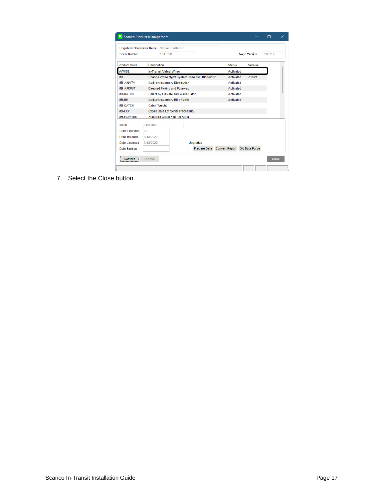| Registered Customer Name Scanco Software |                     |                                              |                     |                       |               |                |          |  |
|------------------------------------------|---------------------|----------------------------------------------|---------------------|-----------------------|---------------|----------------|----------|--|
| Serial Number                            |                     | 1501928                                      |                     |                       |               | Sage Version   | 7.00 2.0 |  |
| <b>Product Code</b>                      | <b>Description</b>  |                                              |                     |                       | <b>Status</b> | Version        |          |  |
| <b>VWHSE</b>                             |                     | In-Transit Virtual Whse                      |                     |                       | Activated     |                |          |  |
| <b>MB</b>                                |                     | Scanco Whse Mgmt System Base bld: 10/29/2021 |                     |                       | Activated     | 7.0021         |          |  |
| <b>MB-AINVTY</b>                         |                     | Multi-bin Inventory Distribution             |                     |                       | Activated     |                |          |  |
| <b>MB-APKPUT</b>                         |                     | <b>Directed Picking and Putaway</b>          |                     |                       | Activated     |                |          |  |
| <b>MB-BATCH</b>                          |                     | Select by Fill Rate and Wave Batch           |                     |                       | Activated     |                |          |  |
| MB-BM                                    |                     | Multi-bin Inventory Bill of Matls            |                     |                       | Activated     |                |          |  |
| <b>MB-CATCH</b>                          | <b>Catch Weight</b> |                                              |                     |                       |               |                |          |  |
| MB-EXP                                   |                     | <b>Expire Date Lot Serial Traceability</b>   |                     |                       |               |                |          |  |
| <b>MB-EXPSTND</b>                        |                     | <b>Standard Costs Exp Lot Serial</b>         |                     |                       |               |                |          |  |
| Mode                                     | Licensed            |                                              |                     |                       |               |                |          |  |
| <b>User Licenses</b>                     | 20                  |                                              |                     |                       |               |                |          |  |
| Date Installed                           | 3/18/2022           |                                              |                     |                       |               |                |          |  |
| <b>Date Licensed</b>                     | 3/18/2022           |                                              | <b>Upgrades</b>     |                       |               |                |          |  |
| <b>Date Expires</b>                      |                     |                                              | <b>Prepare Data</b> | <b>Convert Report</b> |               | Old Data Purge |          |  |

7. Select the Close button.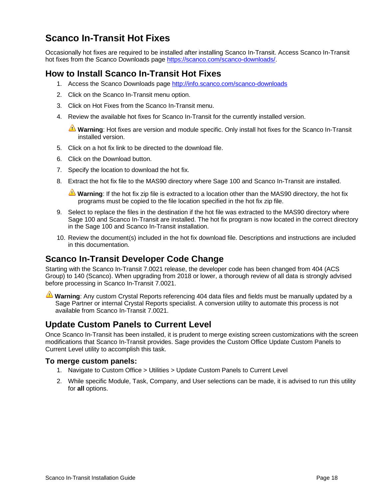# <span id="page-17-0"></span>**Scanco In-Transit Hot Fixes**

Occasionally hot fixes are required to be installed after installing Scanco In-Transit. Access Scanco In-Transit hot fixes from the Scanco Downloads page [https://scanco.com/scanco-downloads/.](https://scanco.com/scanco-downloads/)

# <span id="page-17-1"></span>**How to Install Scanco In-Transit Hot Fixes**

- 1. Access the Scanco Downloads page<http://info.scanco.com/scanco-downloads>
- 2. Click on the Scanco In-Transit menu option.
- 3. Click on Hot Fixes from the Scanco In-Transit menu.
- 4. Review the available hot fixes for Scanco In-Transit for the currently installed version.

**Warning**: Hot fixes are version and module specific. Only install hot fixes for the Scanco In-Transit installed version.

- 5. Click on a hot fix link to be directed to the download file.
- 6. Click on the Download button.
- 7. Specify the location to download the hot fix.
- 8. Extract the hot fix file to the MAS90 directory where Sage 100 and Scanco In-Transit are installed.

**Warning**: If the hot fix zip file is extracted to a location other than the MAS90 directory, the hot fix programs must be copied to the file location specified in the hot fix zip file.

- 9. Select to replace the files in the destination if the hot file was extracted to the MAS90 directory where Sage 100 and Scanco In-Transit are installed. The hot fix program is now located in the correct directory in the Sage 100 and Scanco In-Transit installation.
- 10. Review the document(s) included in the hot fix download file. Descriptions and instructions are included in this documentation.

## <span id="page-17-2"></span>**Scanco In-Transit Developer Code Change**

Starting with the Scanco In-Transit 7.0021 release, the developer code has been changed from 404 (ACS Group) to 140 (Scanco). When upgrading from 2018 or lower, a thorough review of all data is strongly advised before processing in Scanco In-Transit 7.0021.

**Warning**: Any custom Crystal Reports referencing 404 data files and fields must be manually updated by a Sage Partner or internal Crystal Reports specialist. A conversion utility to automate this process is not available from Scanco In-Transit 7.0021.

## <span id="page-17-3"></span>**Update Custom Panels to Current Level**

Once Scanco In-Transit has been installed, it is prudent to merge existing screen customizations with the screen modifications that Scanco In-Transit provides. Sage provides the Custom Office Update Custom Panels to Current Level utility to accomplish this task.

#### <span id="page-17-4"></span>**To merge custom panels:**

- 1. Navigate to Custom Office > Utilities > Update Custom Panels to Current Level
- 2. While specific Module, Task, Company, and User selections can be made, it is advised to run this utility for **all** options.